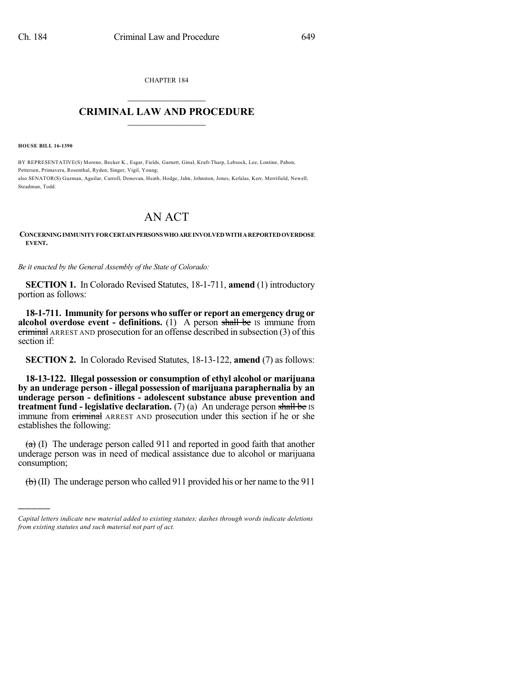CHAPTER 184  $\overline{\phantom{a}}$  . The set of the set of the set of the set of the set of the set of the set of the set of the set of the set of the set of the set of the set of the set of the set of the set of the set of the set of the set o

## **CRIMINAL LAW AND PROCEDURE**  $\frac{1}{2}$  ,  $\frac{1}{2}$  ,  $\frac{1}{2}$  ,  $\frac{1}{2}$  ,  $\frac{1}{2}$  ,  $\frac{1}{2}$  ,  $\frac{1}{2}$

**HOUSE BILL 16-1390**

)))))

BY REPRESENTATIVE(S) Moreno, Becker K., Esgar, Fields, Garnett, Ginal, Kraft-Tharp, Lebsock, Lee, Lontine, Pabon, Pettersen, Primavera, Rosenthal, Ryden, Singer, Vigil, Young; also SENATOR(S) Guzman, Aguilar, Carroll, Donovan, Heath, Hodge, Jahn, Johnston, Jones, Kefalas, Kerr, Merrifield, Newell, Steadman, Todd.

## AN ACT

**CONCERNINGIMMUNITYFORCERTAINPERSONSWHOAREINVOLVEDWITHAREPORTEDOVERDOSE EVENT.**

*Be it enacted by the General Assembly of the State of Colorado:*

**SECTION 1.** In Colorado Revised Statutes, 18-1-711, **amend** (1) introductory portion as follows:

**18-1-711. Immunity for persons who suffer or report an emergency drug or alcohol overdose event - definitions.** (1) A person shall be IS immune from criminal ARREST AND prosecution for an offense described in subsection (3) of this section if:

**SECTION 2.** In Colorado Revised Statutes, 18-13-122, **amend** (7) as follows:

**18-13-122. Illegal possession or consumption of ethyl alcohol or marijuana by an underage person - illegal possession of marijuana paraphernalia by an underage person - definitions - adolescent substance abuse prevention and treatment fund - legislative declaration.** (7) (a) An underage person shall be IS immune from criminal ARREST AND prosecution under this section if he or she establishes the following:

 $(a)$  (I) The underage person called 911 and reported in good faith that another underage person was in need of medical assistance due to alcohol or marijuana consumption;

 $\left(\frac{b}{b}\right)$  (II) The underage person who called 911 provided his or her name to the 911

*Capital letters indicate new material added to existing statutes; dashes through words indicate deletions from existing statutes and such material not part of act.*